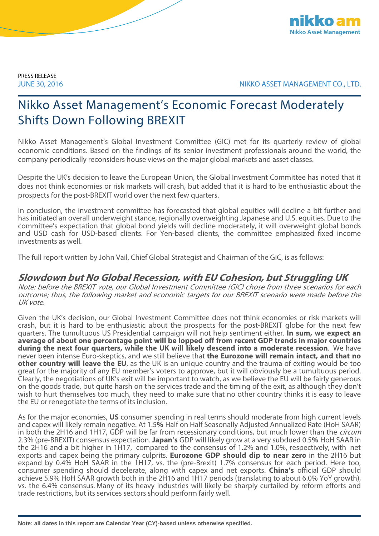

PRESS RELEASE

JUNE 30, 2016 NIKKO ASSET MANAGEMENT CO., LTD.

# Nikko Asset Management's Economic Forecast Moderately Shifts Down Following BREXIT

Nikko Asset Management's Global Investment Committee (GIC) met for its quarterly review of global economic conditions. Based on the findings of its senior investment professionals around the world, the company periodically reconsiders house views on the major global markets and asset classes.

Despite the UK's decision to leave the European Union, the Global Investment Committee has noted that it does not think economies or risk markets will crash, but added that it is hard to be enthusiastic about the prospects for the post-BREXIT world over the next few quarters.

In conclusion, the investment committee has forecasted that global equities will decline a bit further and has initiated an overall underweight stance, regionally overweighting Japanese and U.S. equities. Due to the committee's expectation that global bond yields will decline moderately, it will overweight global bonds and USD cash for USD-based clients. For Yen-based clients, the committee emphasized fixed income investments as well.

The full report written by John Vail, Chief Global Strategist and Chairman of the GIC, is as follows:

### **Slowdown but No Global Recession, with EU Cohesion, but Struggling UK**

Note: before the BREXIT vote, our Global Investment Committee (GIC) chose from three scenarios for each outcome; thus, the following market and economic targets for our BREXIT scenario were made before the UK vote.

Given the UK's decision, our Global Investment Committee does not think economies or risk markets will crash, but it is hard to be enthusiastic about the prospects for the post-BREXIT globe for the next few quarters. The tumultuous US Presidential campaign will not help sentiment either. **In sum, we expect an average of about one percentage point will be lopped off from recent GDP trends in major countries during the next four quarters, while the UK will likely descend into a moderate recession**. We have never been intense Euro-skeptics, and we still believe that **the Eurozone will remain intact, and that no other country will leave the EU**, as the UK is an unique country and the trauma of exiting would be too great for the majority of any EU member's voters to approve, but it will obviously be a tumultuous period. Clearly, the negotiations of UK's exit will be important to watch, as we believe the EU will be fairly generous on the goods trade, but quite harsh on the services trade and the timing of the exit, as although they don't wish to hurt themselves too much, they need to make sure that no other country thinks it is easy to leave the EU or renegotiate the terms of its inclusion.

As for the major economies, **US** consumer spending in real terms should moderate from high current levels and capex will likely remain negative. At 1.5**%** Half on Half Seasonally Adjusted Annualized Rate (HoH SAAR) in both the 2H16 and 1H17, GDP will be far from recessionary conditions, but much lower than the *circum* 2.3% (pre-BREXIT) consensus expectation. **Japan's** GDP will likely grow at a very subdued 0.5**%** HoH SAAR in the 2H16 and a bit higher in 1H17, compared to the consensus of 1.2% and 1.0%, respectively, with net exports and capex being the primary culprits. **Eurozone GDP should dip to near zero** in the 2H16 but expand by 0.4% HoH SAAR in the 1H17, vs. the (pre-Brexit) 1.7% consensus for each period. Here too, consumer spending should decelerate, along with capex and net exports. **China's** official GDP should achieve 5.9% HoH SAAR growth both in the 2H16 and 1H17 periods (translating to about 6.0% YoY growth), vs. the 6.4% consensus. Many of its heavy industries will likely be sharply curtailed by reform efforts and trade restrictions, but its services sectors should perform fairly well.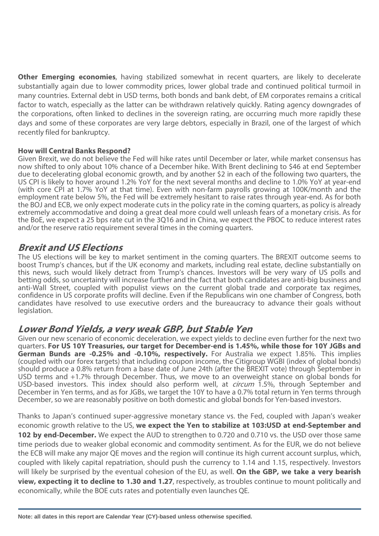**Other Emerging economies**, having stabilized somewhat in recent quarters, are likely to decelerate substantially again due to lower commodity prices, lower global trade and continued political turmoil in many countries. External debt in USD terms, both bonds and bank debt, of EM corporates remains a critical factor to watch, especially as the latter can be withdrawn relatively quickly. Rating agency downgrades of the corporations, often linked to declines in the sovereign rating, are occurring much more rapidly these days and some of these corporates are very large debtors, especially in Brazil, one of the largest of which recently filed for bankruptcy.

### **How will Central Banks Respond?**

Given Brexit, we do not believe the Fed will hike rates until December or later, while market consensus has now shifted to only about 10% chance of a December hike. With Brent declining to \$46 at end September due to decelerating global economic growth, and by another \$2 in each of the following two quarters, the US CPI is likely to hover around 1.2% YoY for the next several months and decline to 1.0% YoY at year-end (with core CPI at 1.7% YoY at that time). Even with non-farm payrolls growing at 100K/month and the employment rate below 5%, the Fed will be extremely hesitant to raise rates through year-end. As for both the BOJ and ECB, we only expect moderate cuts in the policy rate in the coming quarters, as policy is already extremely accommodative and doing a great deal more could well unleash fears of a monetary crisis. As for the BoE, we expect a 25 bps rate cut in the 3Q16 and in China, we expect the PBOC to reduce interest rates and/or the reserve ratio requirement several times in the coming quarters.

### **Brexit and US Elections**

The US elections will be key to market sentiment in the coming quarters. The BREXIT outcome seems to boost Trump's chances, but if the UK economy and markets, including real estate, decline substantially on this news, such would likely detract from Trump's chances. Investors will be very wary of US polls and betting odds, so uncertainty will increase further and the fact that both candidates are anti-big business and anti-Wall Street, coupled with populist views on the current global trade and corporate tax regimes, confidence in US corporate profits will decline. Even if the Republicans win one chamber of Congress, both candidates have resolved to use executive orders and the bureaucracy to advance their goals without legislation.

### **Lower Bond Yields, a very weak GBP, but Stable Yen**

Given our new scenario of economic deceleration, we expect yields to decline even further for the next two quarters. **For US 10Y Treasuries, our target for December-end is 1.45%, while those for 10Y JGBs and German Bunds are -0.25% and -0.10%, respectively.** For Australia we expect 1.85%. This implies (coupled with our forex targets) that including coupon income, the Citigroup WGBI (index of global bonds) should produce a 0.8% return from a base date of June 24th (after the BREXIT vote) through September in USD terms and +1.7% through December. Thus, we move to an overweight stance on global bonds for USD-based investors. This index should also perform well, at *circum* 1.5%, through September and December in Yen terms, and as for JGBs, we target the 10Y to have a 0.7% total return in Yen terms through December, so we are reasonably positive on both domestic and global bonds for Yen-based investors.

Thanks to Japan's continued super-aggressive monetary stance vs. the Fed, coupled with Japan's weaker economic growth relative to the US, **we expect the Yen to stabilize at 103:USD at end-September and 102 by end-December.** We expect the AUD to strengthen to 0.720 and 0.710 vs. the USD over those same time periods due to weaker global economic and commodity sentiment. As for the EUR, we do not believe the ECB will make any major QE moves and the region will continue its high current account surplus, which, coupled with likely capital repatriation, should push the currency to 1.14 and 1.15, respectively. Investors will likely be surprised by the eventual cohesion of the EU, as well. **On the GBP, we take a very bearish view, expecting it to decline to 1.30 and 1.27**, respectively, as troubles continue to mount politically and economically, while the BOE cuts rates and potentially even launches QE.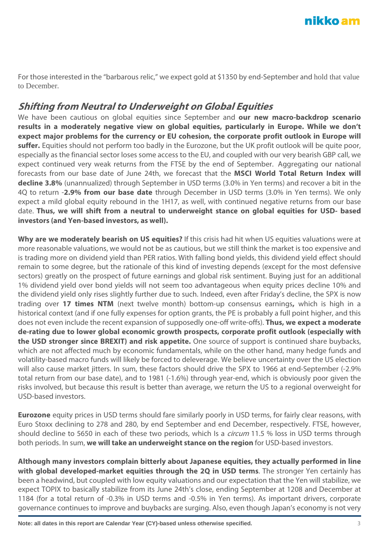For those interested in the "barbarous relic," we expect gold at \$1350 by end-September and hold that value to December.

## **Shifting from Neutral to Underweight on Global Equities**

We have been cautious on global equities since September and **our new macro-backdrop scenario results in a moderately negative view on global equities, particularly in Europe. While we don't expect major problems for the currency or EU cohesion, the corporate profit outlook in Europe will suffer.** Equities should not perform too badly in the Eurozone, but the UK profit outlook will be quite poor, especially as the financial sector loses some access to the EU, and coupled with our very bearish GBP call, we expect continued very weak returns from the FTSE by the end of September. Aggregating our national forecasts from our base date of June 24th, we forecast that the **MSCI World Total Return Index will decline 3.8%** (unannualized) through September in USD terms (3.0% in Yen terms) and recover a bit in the 4Q to return -**2.9% from our base date** through December in USD terms (3.0% in Yen terms). We only expect a mild global equity rebound in the 1H17, as well, with continued negative returns from our base date. **Thus, we will shift from a neutral to underweight stance on global equities for USD- based investors (and Yen-based investors, as well).**

**Why are we moderately bearish on US equities?** If this crisis had hit when US equities valuations were at more reasonable valuations, we would not be as cautious, but we still think the market is too expensive and is trading more on dividend yield than PER ratios. With falling bond yields, this dividend yield effect should remain to some degree, but the rationale of this kind of investing depends (except for the most defensive sectors) greatly on the prospect of future earnings and global risk sentiment. Buying just for an additional 1% dividend yield over bond yields will not seem too advantageous when equity prices decline 10% and the dividend yield only rises slightly further due to such. Indeed, even after Friday's decline, the SPX is now trading over **17 times NTM** (next twelve month) bottom-up consensus earnings**,** which is high in a historical context (and if one fully expenses for option grants, the PE is probably a full point higher, and this does not even include the recent expansion of supposedly one-off write-offs). **Thus, we expect a moderate de-rating due to lower global economic growth prospects, corporate profit outlook (especially with the USD stronger since BREXIT) and risk appetite.** One source of support is continued share buybacks, which are not affected much by economic fundamentals, while on the other hand, many hedge funds and volatility-based macro funds will likely be forced to deleverage. We believe uncertainty over the US election will also cause market jitters. In sum, these factors should drive the SPX to 1966 at end-September (-2.9% total return from our base date), and to 1981 (-1.6%) through year-end, which is obviously poor given the risks involved, but because this result is better than average, we return the US to a regional overweight for USD-based investors.

**Eurozone** equity prices in USD terms should fare similarly poorly in USD terms, for fairly clear reasons, with Euro Stoxx declining to 278 and 280, by end September and end December, respectively. FTSE, however, should decline to 5650 in each of these two periods, which Is a *circum* 11.5 % loss in USD terms through both periods. In sum, **we will take an underweight stance on the region** for USD-based investors.

**Although many investors complain bitterly about Japanese equities, they actually performed in line with global developed-market equities through the 2Q in USD terms**. The stronger Yen certainly has been a headwind, but coupled with low equity valuations and our expectation that the Yen will stabilize, we expect TOPIX to basically stabilize from its June 24th's close, ending September at 1208 and December at 1184 (for a total return of -0.3% in USD terms and -0.5% in Yen terms). As important drivers, corporate governance continues to improve and buybacks are surging. Also, even though Japan's economy is not very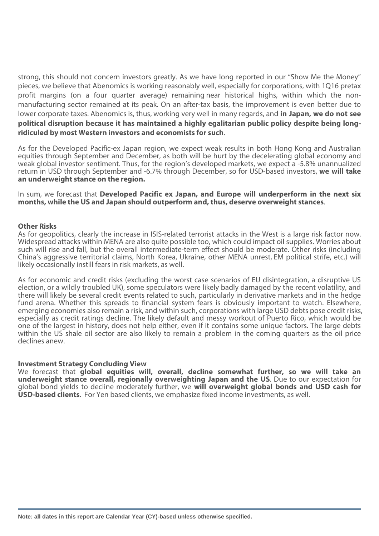strong, this should not concern investors greatly. As we have long reported in our "Show Me the Money" pieces, we believe that Abenomics is working reasonably well, especially for corporations, with 1Q16 pretax profit margins (on a four quarter average) remaining near historical highs, within which the nonmanufacturing sector remained at its peak. On an after-tax basis, the improvement is even better due to lower corporate taxes. Abenomics is, thus, working very well in many regards, and **in Japan, we do not see political disruption because it has maintained a highly egalitarian public policy despite being longridiculed by most Western investors and economists for such**.

As for the Developed Pacific-ex Japan region, we expect weak results in both Hong Kong and Australian equities through September and December, as both will be hurt by the decelerating global economy and weak global investor sentiment. Thus, for the region's developed markets, we expect a -5.8% unannualized return in USD through September and -6.7% through December, so for USD-based investors, **we will take an underweight stance on the region.**

In sum, we forecast that **Developed Pacific ex Japan, and Europe will underperform in the next six months, while the US and Japan should outperform and, thus, deserve overweight stances**.

#### **Other Risks**

As for geopolitics, clearly the increase in ISIS-related terrorist attacks in the West is a large risk factor now. Widespread attacks within MENA are also quite possible too, which could impact oil supplies. Worries about such will rise and fall, but the overall intermediate-term effect should be moderate. Other risks (including China's aggressive territorial claims, North Korea, Ukraine, other MENA unrest, EM political strife, etc.) will likely occasionally instill fears in risk markets, as well.

As for economic and credit risks (excluding the worst case scenarios of EU disintegration, a disruptive US election, or a wildly troubled UK), some speculators were likely badly damaged by the recent volatility, and there will likely be several credit events related to such, particularly in derivative markets and in the hedge fund arena. Whether this spreads to financial system fears is obviously important to watch. Elsewhere, emerging economies also remain a risk, and within such, corporations with large USD debts pose credit risks, especially as credit ratings decline. The likely default and messy workout of Puerto Rico, which would be one of the largest in history, does not help either, even if it contains some unique factors. The large debts within the US shale oil sector are also likely to remain a problem in the coming quarters as the oil price declines anew.

#### **Investment Strategy Concluding View**

We forecast that **global equities will, overall, decline somewhat further, so we will take an underweight stance overall, regionally overweighting Japan and the US**. Due to our expectation for global bond yields to decline moderately further, we **will overweight global bonds and USD cash for USD-based clients**. For Yen based clients, we emphasize fixed income investments, as well.